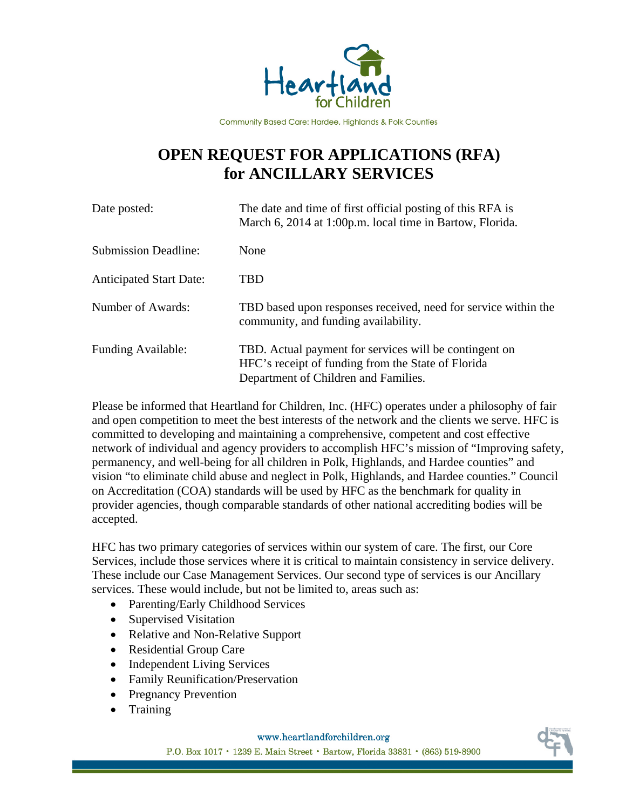

Community Based Care: Hardee, Highlands & Polk Counties

## **OPEN REQUEST FOR APPLICATIONS (RFA) for ANCILLARY SERVICES**

| Date posted:                   | The date and time of first official posting of this RFA is<br>March 6, 2014 at 1:00p.m. local time in Bartow, Florida.                               |
|--------------------------------|------------------------------------------------------------------------------------------------------------------------------------------------------|
| <b>Submission Deadline:</b>    | None                                                                                                                                                 |
| <b>Anticipated Start Date:</b> | <b>TBD</b>                                                                                                                                           |
| Number of Awards:              | TBD based upon responses received, need for service within the<br>community, and funding availability.                                               |
| <b>Funding Available:</b>      | TBD. Actual payment for services will be contingent on<br>HFC's receipt of funding from the State of Florida<br>Department of Children and Families. |

Please be informed that Heartland for Children, Inc. (HFC) operates under a philosophy of fair and open competition to meet the best interests of the network and the clients we serve. HFC is committed to developing and maintaining a comprehensive, competent and cost effective network of individual and agency providers to accomplish HFC's mission of "Improving safety, permanency, and well-being for all children in Polk, Highlands, and Hardee counties" and vision "to eliminate child abuse and neglect in Polk, Highlands, and Hardee counties." Council on Accreditation (COA) standards will be used by HFC as the benchmark for quality in provider agencies, though comparable standards of other national accrediting bodies will be accepted.

HFC has two primary categories of services within our system of care. The first, our Core Services, include those services where it is critical to maintain consistency in service delivery. These include our Case Management Services. Our second type of services is our Ancillary services. These would include, but not be limited to, areas such as:

- Parenting/Early Childhood Services
- Supervised Visitation
- Relative and Non-Relative Support
- Residential Group Care
- Independent Living Services
- Family Reunification/Preservation
- Pregnancy Prevention
- Training

www.heartlandforchildren.org

P.O. Box 1017 · 1239 E. Main Street · Bartow, Florida 33831 · (863) 519-8900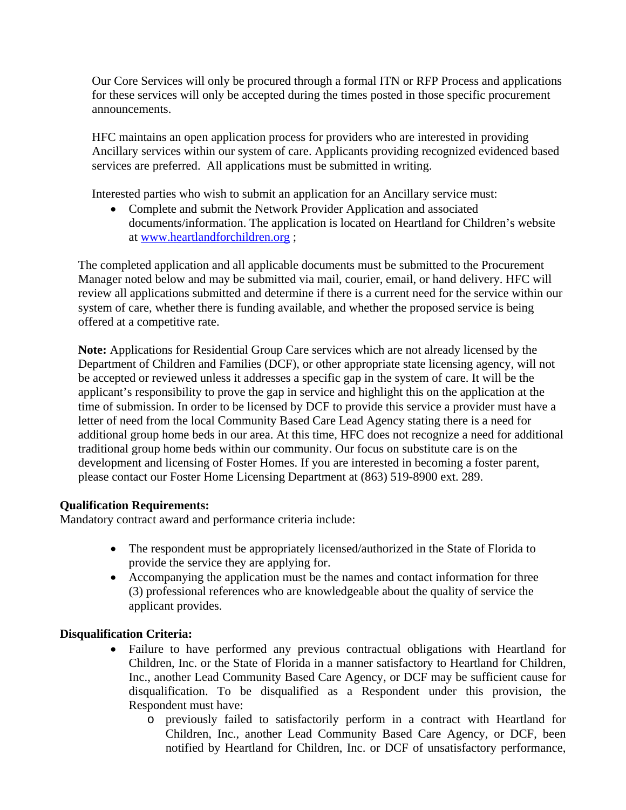Our Core Services will only be procured through a formal ITN or RFP Process and applications for these services will only be accepted during the times posted in those specific procurement announcements.

HFC maintains an open application process for providers who are interested in providing Ancillary services within our system of care. Applicants providing recognized evidenced based services are preferred. All applications must be submitted in writing.

Interested parties who wish to submit an application for an Ancillary service must:

 Complete and submit the Network Provider Application and associated documents/information. The application is located on Heartland for Children's website at www.heartlandforchildren.org ;

The completed application and all applicable documents must be submitted to the Procurement Manager noted below and may be submitted via mail, courier, email, or hand delivery. HFC will review all applications submitted and determine if there is a current need for the service within our system of care, whether there is funding available, and whether the proposed service is being offered at a competitive rate.

**Note:** Applications for Residential Group Care services which are not already licensed by the Department of Children and Families (DCF), or other appropriate state licensing agency, will not be accepted or reviewed unless it addresses a specific gap in the system of care. It will be the applicant's responsibility to prove the gap in service and highlight this on the application at the time of submission. In order to be licensed by DCF to provide this service a provider must have a letter of need from the local Community Based Care Lead Agency stating there is a need for additional group home beds in our area. At this time, HFC does not recognize a need for additional traditional group home beds within our community. Our focus on substitute care is on the development and licensing of Foster Homes. If you are interested in becoming a foster parent, please contact our Foster Home Licensing Department at (863) 519-8900 ext. 289.

## **Qualification Requirements:**

Mandatory contract award and performance criteria include:

- The respondent must be appropriately licensed/authorized in the State of Florida to provide the service they are applying for.
- Accompanying the application must be the names and contact information for three (3) professional references who are knowledgeable about the quality of service the applicant provides.

## **Disqualification Criteria:**

- Failure to have performed any previous contractual obligations with Heartland for Children, Inc. or the State of Florida in a manner satisfactory to Heartland for Children, Inc., another Lead Community Based Care Agency, or DCF may be sufficient cause for disqualification. To be disqualified as a Respondent under this provision, the Respondent must have:
	- o previously failed to satisfactorily perform in a contract with Heartland for Children, Inc., another Lead Community Based Care Agency, or DCF, been notified by Heartland for Children, Inc. or DCF of unsatisfactory performance,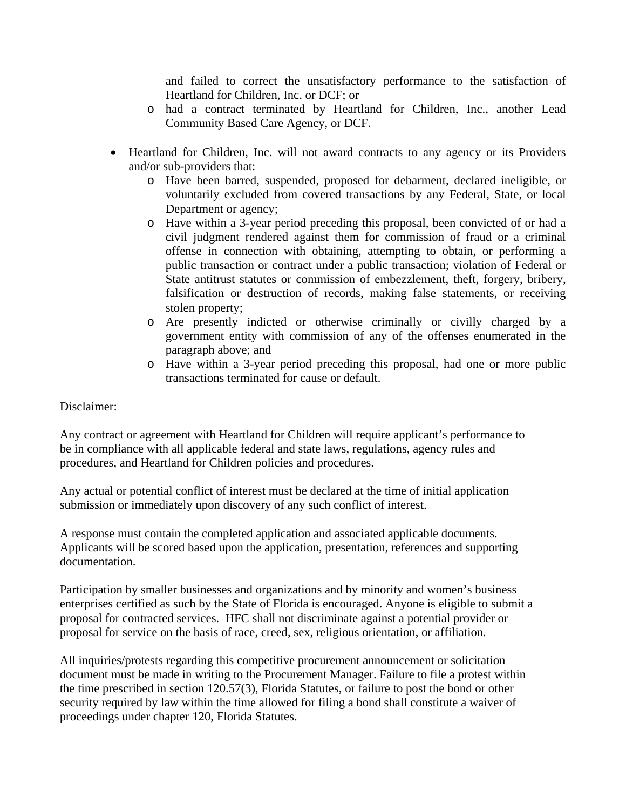and failed to correct the unsatisfactory performance to the satisfaction of Heartland for Children, Inc. or DCF; or

- o had a contract terminated by Heartland for Children, Inc., another Lead Community Based Care Agency, or DCF.
- Heartland for Children, Inc. will not award contracts to any agency or its Providers and/or sub-providers that:
	- o Have been barred, suspended, proposed for debarment, declared ineligible, or voluntarily excluded from covered transactions by any Federal, State, or local Department or agency;
	- o Have within a 3-year period preceding this proposal, been convicted of or had a civil judgment rendered against them for commission of fraud or a criminal offense in connection with obtaining, attempting to obtain, or performing a public transaction or contract under a public transaction; violation of Federal or State antitrust statutes or commission of embezzlement, theft, forgery, bribery, falsification or destruction of records, making false statements, or receiving stolen property;
	- o Are presently indicted or otherwise criminally or civilly charged by a government entity with commission of any of the offenses enumerated in the paragraph above; and
	- o Have within a 3-year period preceding this proposal, had one or more public transactions terminated for cause or default.

## Disclaimer:

Any contract or agreement with Heartland for Children will require applicant's performance to be in compliance with all applicable federal and state laws, regulations, agency rules and procedures, and Heartland for Children policies and procedures.

Any actual or potential conflict of interest must be declared at the time of initial application submission or immediately upon discovery of any such conflict of interest.

A response must contain the completed application and associated applicable documents. Applicants will be scored based upon the application, presentation, references and supporting documentation.

Participation by smaller businesses and organizations and by minority and women's business enterprises certified as such by the State of Florida is encouraged. Anyone is eligible to submit a proposal for contracted services. HFC shall not discriminate against a potential provider or proposal for service on the basis of race, creed, sex, religious orientation, or affiliation.

All inquiries/protests regarding this competitive procurement announcement or solicitation document must be made in writing to the Procurement Manager. Failure to file a protest within the time prescribed in section 120.57(3), Florida Statutes, or failure to post the bond or other security required by law within the time allowed for filing a bond shall constitute a waiver of proceedings under chapter 120, Florida Statutes.